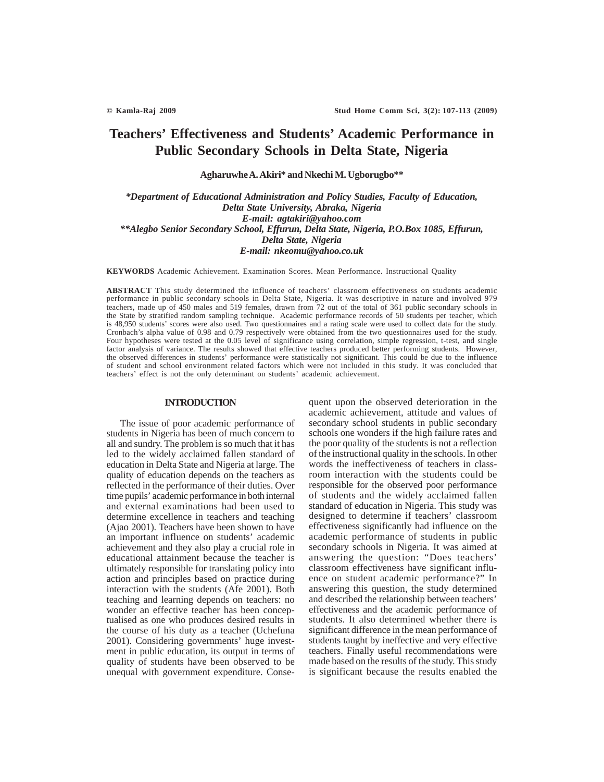# **Teachers' Effectiveness and Students' Academic Performance in Public Secondary Schools in Delta State, Nigeria**

**Agharuwhe A. Akiri\* and Nkechi M. Ugborugbo\*\***

*\*Department of Educational Administration and Policy Studies, Faculty of Education, Delta State University, Abraka, Nigeria E-mail: agtakiri@yahoo.com \*\*Alegbo Senior Secondary School, Effurun, Delta State, Nigeria, P.O.Box 1085, Effurun, Delta State, Nigeria E-mail: nkeomu@yahoo.co.uk*

**KEYWORDS** Academic Achievement. Examination Scores. Mean Performance. Instructional Quality

**ABSTRACT** This study determined the influence of teachers' classroom effectiveness on students academic performance in public secondary schools in Delta State, Nigeria. It was descriptive in nature and involved 979 teachers, made up of 450 males and 519 females, drawn from 72 out of the total of 361 public secondary schools in the State by stratified random sampling technique. Academic performance records of 50 students per teacher, which is 48,950 students' scores were also used. Two questionnaires and a rating scale were used to collect data for the study. Cronbach's alpha value of 0.98 and 0.79 respectively were obtained from the two questionnaires used for the study. Four hypotheses were tested at the 0.05 level of significance using correlation, simple regression, t-test, and single factor analysis of variance. The results showed that effective teachers produced better performing students. However, the observed differences in students' performance were statistically not significant. This could be due to the influence of student and school environment related factors which were not included in this study. It was concluded that teachers' effect is not the only determinant on students' academic achievement.

### **INTRODUCTION**

The issue of poor academic performance of students in Nigeria has been of much concern to all and sundry. The problem is so much that it has led to the widely acclaimed fallen standard of education in Delta State and Nigeria at large. The quality of education depends on the teachers as reflected in the performance of their duties. Over time pupils' academic performance in both internal and external examinations had been used to determine excellence in teachers and teaching (Ajao 2001). Teachers have been shown to have an important influence on students' academic achievement and they also play a crucial role in educational attainment because the teacher is ultimately responsible for translating policy into action and principles based on practice during interaction with the students (Afe 2001). Both teaching and learning depends on teachers: no wonder an effective teacher has been conceptualised as one who produces desired results in the course of his duty as a teacher (Uchefuna 2001). Considering governments' huge investment in public education, its output in terms of quality of students have been observed to be unequal with government expenditure. Consequent upon the observed deterioration in the academic achievement, attitude and values of secondary school students in public secondary schools one wonders if the high failure rates and the poor quality of the students is not a reflection of the instructional quality in the schools. In other words the ineffectiveness of teachers in classroom interaction with the students could be responsible for the observed poor performance of students and the widely acclaimed fallen standard of education in Nigeria. This study was designed to determine if teachers' classroom effectiveness significantly had influence on the academic performance of students in public secondary schools in Nigeria. It was aimed at answering the question: "Does teachers' classroom effectiveness have significant influence on student academic performance?" In answering this question, the study determined and described the relationship between teachers' effectiveness and the academic performance of students. It also determined whether there is significant difference in the mean performance of students taught by ineffective and very effective teachers. Finally useful recommendations were made based on the results of the study. This study is significant because the results enabled the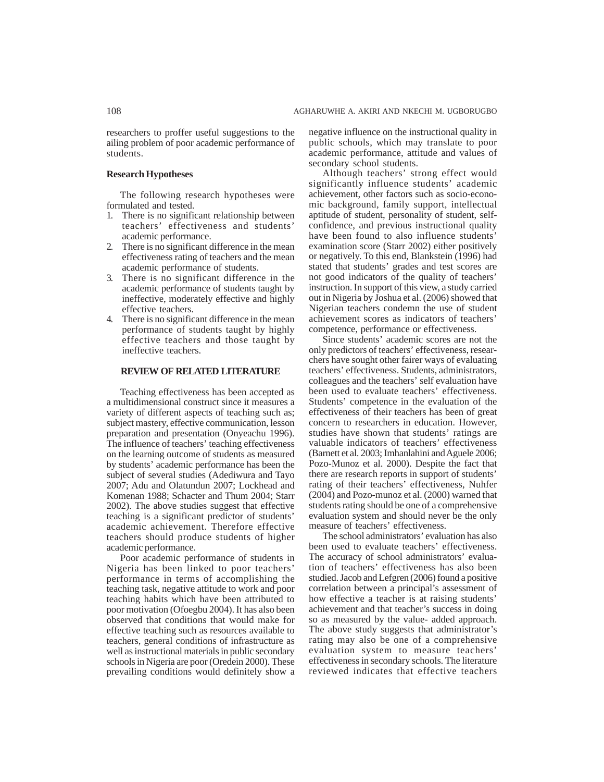researchers to proffer useful suggestions to the ailing problem of poor academic performance of students.

# **Research Hypotheses**

The following research hypotheses were formulated and tested.

- 1. There is no significant relationship between teachers' effectiveness and students' academic performance.
- 2. There is no significant difference in the mean effectiveness rating of teachers and the mean academic performance of students.
- 3. There is no significant difference in the academic performance of students taught by ineffective, moderately effective and highly effective teachers.
- 4. There is no significant difference in the mean performance of students taught by highly effective teachers and those taught by ineffective teachers.

# **REVIEW OF RELATED LITERATURE**

Teaching effectiveness has been accepted as a multidimensional construct since it measures a variety of different aspects of teaching such as; subject mastery, effective communication, lesson preparation and presentation (Onyeachu 1996). The influence of teachers' teaching effectiveness on the learning outcome of students as measured by students' academic performance has been the subject of several studies (Adediwura and Tayo 2007; Adu and Olatundun 2007; Lockhead and Komenan 1988; Schacter and Thum 2004; Starr 2002). The above studies suggest that effective teaching is a significant predictor of students' academic achievement. Therefore effective teachers should produce students of higher academic performance.

Poor academic performance of students in Nigeria has been linked to poor teachers' performance in terms of accomplishing the teaching task, negative attitude to work and poor teaching habits which have been attributed to poor motivation (Ofoegbu 2004). It has also been observed that conditions that would make for effective teaching such as resources available to teachers, general conditions of infrastructure as well as instructional materials in public secondary schools in Nigeria are poor (Oredein 2000). These prevailing conditions would definitely show a

negative influence on the instructional quality in public schools, which may translate to poor academic performance, attitude and values of secondary school students.

Although teachers' strong effect would significantly influence students' academic achievement, other factors such as socio-economic background, family support, intellectual aptitude of student, personality of student, selfconfidence, and previous instructional quality have been found to also influence students' examination score (Starr 2002) either positively or negatively. To this end, Blankstein (1996) had stated that students' grades and test scores are not good indicators of the quality of teachers' instruction. In support of this view, a study carried out in Nigeria by Joshua et al. (2006) showed that Nigerian teachers condemn the use of student achievement scores as indicators of teachers' competence, performance or effectiveness.

Since students' academic scores are not the only predictors of teachers' effectiveness, researchers have sought other fairer ways of evaluating teachers' effectiveness. Students, administrators, colleagues and the teachers' self evaluation have been used to evaluate teachers' effectiveness. Students' competence in the evaluation of the effectiveness of their teachers has been of great concern to researchers in education. However, studies have shown that students' ratings are valuable indicators of teachers' effectiveness (Barnett et al. 2003; Imhanlahini and Aguele 2006; Pozo-Munoz et al. 2000). Despite the fact that there are research reports in support of students' rating of their teachers' effectiveness, Nuhfer (2004) and Pozo-munoz et al. (2000) warned that students rating should be one of a comprehensive evaluation system and should never be the only measure of teachers' effectiveness.

The school administrators' evaluation has also been used to evaluate teachers' effectiveness. The accuracy of school administrators' evaluation of teachers' effectiveness has also been studied. Jacob and Lefgren (2006) found a positive correlation between a principal's assessment of how effective a teacher is at raising students' achievement and that teacher's success in doing so as measured by the value- added approach. The above study suggests that administrator's rating may also be one of a comprehensive evaluation system to measure teachers' effectiveness in secondary schools. The literature reviewed indicates that effective teachers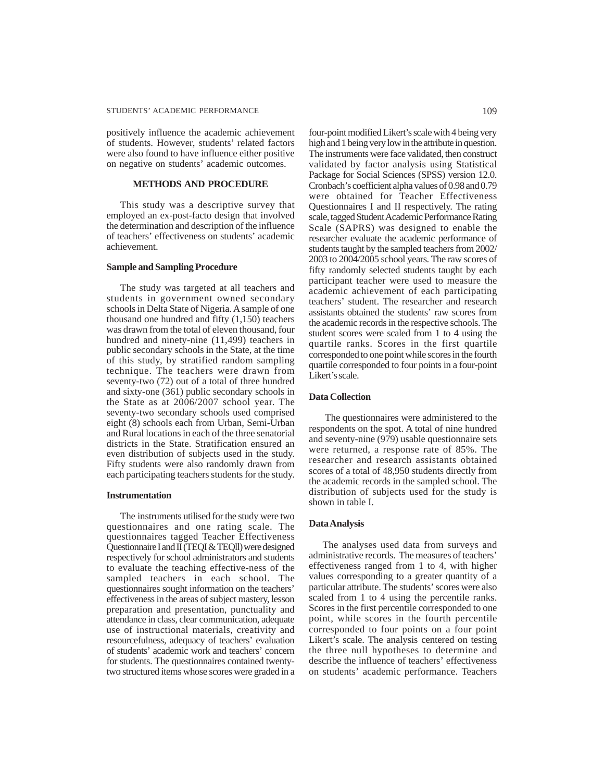### STUDENTS' ACADEMIC PERFORMANCE 109

positively influence the academic achievement of students. However, students' related factors were also found to have influence either positive on negative on students' academic outcomes.

# **METHODS AND PROCEDURE**

This study was a descriptive survey that employed an ex-post-facto design that involved the determination and description of the influence of teachers' effectiveness on students' academic achievement.

# **Sample and Sampling Procedure**

The study was targeted at all teachers and students in government owned secondary schools in Delta State of Nigeria. A sample of one thousand one hundred and fifty  $(1,150)$  teachers was drawn from the total of eleven thousand, four hundred and ninety-nine (11,499) teachers in public secondary schools in the State, at the time of this study, by stratified random sampling technique. The teachers were drawn from seventy-two (72) out of a total of three hundred and sixty-one (361) public secondary schools in the State as at 2006/2007 school year. The seventy-two secondary schools used comprised eight (8) schools each from Urban, Semi-Urban and Rural locations in each of the three senatorial districts in the State. Stratification ensured an even distribution of subjects used in the study. Fifty students were also randomly drawn from each participating teachers students for the study.

### **Instrumentation**

The instruments utilised for the study were two questionnaires and one rating scale. The questionnaires tagged Teacher Effectiveness Questionnaire I and II (TEQI & TEQll) were designed respectively for school administrators and students to evaluate the teaching effective-ness of the sampled teachers in each school. The questionnaires sought information on the teachers' effectiveness in the areas of subject mastery, lesson preparation and presentation, punctuality and attendance in class, clear communication, adequate use of instructional materials, creativity and resourcefulness, adequacy of teachers' evaluation of students' academic work and teachers' concern for students. The questionnaires contained twentytwo structured items whose scores were graded in a four-point modified Likert's scale with 4 being very high and 1 being very low in the attribute in question. The instruments were face validated, then construct validated by factor analysis using Statistical Package for Social Sciences (SPSS) version 12.0. Cronbach's coefficient alpha values of 0.98 and 0.79 were obtained for Teacher Effectiveness Questionnaires I and II respectively. The rating scale, tagged Student Academic Performance Rating Scale (SAPRS) was designed to enable the researcher evaluate the academic performance of students taught by the sampled teachers from 2002/ 2003 to 2004/2005 school years. The raw scores of fifty randomly selected students taught by each participant teacher were used to measure the academic achievement of each participating teachers' student. The researcher and research assistants obtained the students' raw scores from the academic records in the respective schools. The student scores were scaled from 1 to 4 using the quartile ranks. Scores in the first quartile corresponded to one point while scores in the fourth quartile corresponded to four points in a four-point Likert's scale.

# **Data Collection**

 The questionnaires were administered to the respondents on the spot. A total of nine hundred and seventy-nine (979) usable questionnaire sets were returned, a response rate of 85%. The researcher and research assistants obtained scores of a total of 48,950 students directly from the academic records in the sampled school. The distribution of subjects used for the study is shown in table I.

### **Data Analysis**

The analyses used data from surveys and administrative records. The measures of teachers' effectiveness ranged from 1 to 4, with higher values corresponding to a greater quantity of a particular attribute. The students' scores were also scaled from 1 to 4 using the percentile ranks. Scores in the first percentile corresponded to one point, while scores in the fourth percentile corresponded to four points on a four point Likert's scale. The analysis centered on testing the three null hypotheses to determine and describe the influence of teachers' effectiveness on students' academic performance. Teachers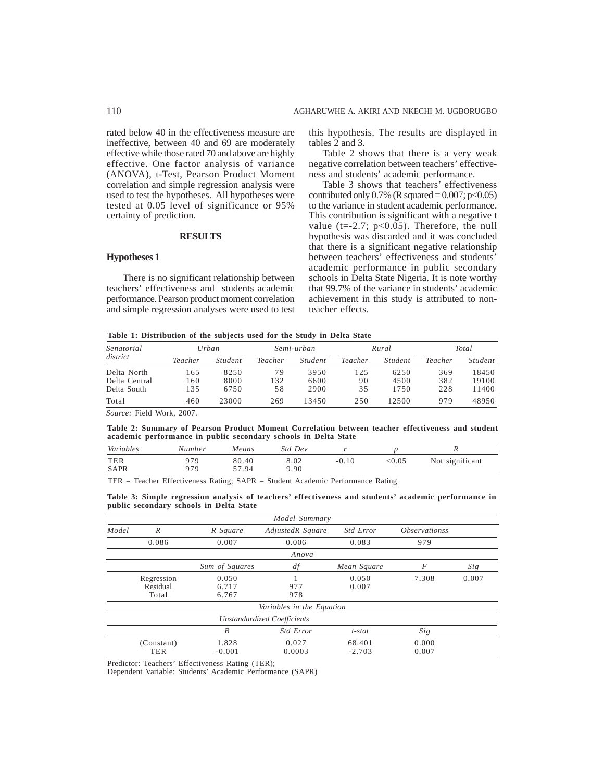rated below 40 in the effectiveness measure are ineffective, between 40 and 69 are moderately effective while those rated 70 and above are highly effective. One factor analysis of variance (ANOVA), t-Test, Pearson Product Moment correlation and simple regression analysis were used to test the hypotheses. All hypotheses were tested at 0.05 level of significance or 95% certainty of prediction.

#### **RESULTS**

### **Hypotheses 1**

 There is no significant relationship between teachers' effectiveness and students academic performance. Pearson product moment correlation and simple regression analyses were used to test this hypothesis. The results are displayed in tables 2 and 3.

Table 2 shows that there is a very weak negative correlation between teachers' effectiveness and students' academic performance.

Table 3 shows that teachers' effectiveness contributed only 0.7% (R squared =  $0.007$ ; p<0.05) to the variance in student academic performance. This contribution is significant with a negative t value ( $t = -2.7$ ;  $p < 0.05$ ). Therefore, the null hypothesis was discarded and it was concluded that there is a significant negative relationship between teachers' effectiveness and students' academic performance in public secondary schools in Delta State Nigeria. It is note worthy that 99.7% of the variance in students' academic achievement in this study is attributed to nonteacher effects.

**Table 1: Distribution of the subjects used for the Study in Delta State**

| Senatorial<br>district | Urban   |                | Semi-urban |                | Rural   |                | Total   |                |
|------------------------|---------|----------------|------------|----------------|---------|----------------|---------|----------------|
|                        | Teacher | <i>Student</i> | Teacher    | <i>Student</i> | Teacher | <i>Student</i> | Teacher | <i>Student</i> |
| Delta North            | 165     | 8250           | 79         | 3950           | 125     | 6250           | 369     | 18450          |
| Delta Central          | 160     | 8000           | 132        | 6600           | 90      | 4500           | 382     | 19100          |
| Delta South            | 135     | 6750           | 58         | 2900           | 35      | 1750           | 228     | 11400          |
| Total                  | 460     | 23000          | 269        | 13450          | 250     | 12500          | 979     | 48950          |

*Source:* Field Work, 2007.

**Table 2: Summary of Pearson Product Moment Correlation between teacher effectiveness and student academic performance in public secondary schools in Delta State**

| Variables          | <i>Number</i> | Means          | Std Dev      |         |           |                 |
|--------------------|---------------|----------------|--------------|---------|-----------|-----------------|
| TER<br><b>SAPR</b> | 070<br>070    | 80.40<br>57.94 | 8.02<br>9.90 | $-0.10$ | ${<}0.05$ | Not significant |

TER = Teacher Effectiveness Rating; SAPR = Student Academic Performance Rating

**Table 3: Simple regression analysis of teachers' effectiveness and students' academic performance in public secondary schools in Delta State**

|       | Model Summary                   |                         |                             |                    |                             |       |  |  |  |
|-------|---------------------------------|-------------------------|-----------------------------|--------------------|-----------------------------|-------|--|--|--|
| Model | $\overline{R}$                  | R Square                | AdjustedR Square            | <b>Std Error</b>   | <i><b>Observationss</b></i> |       |  |  |  |
|       | 0.086                           | 0.007                   | 0.006                       | 0.083              | 979                         |       |  |  |  |
|       |                                 |                         | Anova                       |                    |                             |       |  |  |  |
|       |                                 | Sum of Squares          | df                          | Mean Square        | F                           | Sig   |  |  |  |
|       | Regression<br>Residual<br>Total | 0.050<br>6.717<br>6.767 | 977<br>978                  | 0.050<br>0.007     | 7.308                       | 0.007 |  |  |  |
|       |                                 |                         | Variables in the Equation   |                    |                             |       |  |  |  |
|       |                                 |                         | Unstandardized Coefficients |                    |                             |       |  |  |  |
|       |                                 | B                       | <b>Std Error</b>            | $t$ -stat          | Sig                         |       |  |  |  |
|       | (Constant)<br>TER               | 1.828<br>$-0.001$       | 0.027<br>0.0003             | 68.401<br>$-2.703$ | 0.000<br>0.007              |       |  |  |  |

Predictor: Teachers' Effectiveness Rating (TER);

Dependent Variable: Students' Academic Performance (SAPR)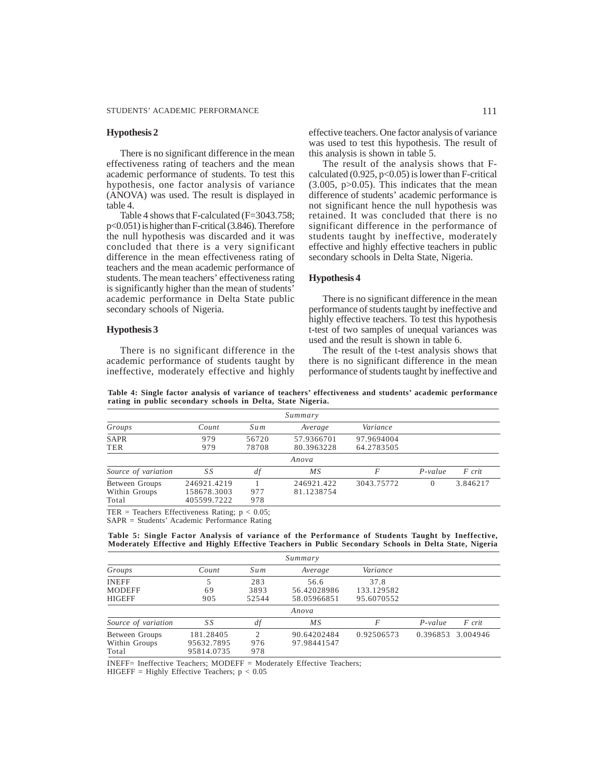# **Hypothesis 2**

There is no significant difference in the mean effectiveness rating of teachers and the mean academic performance of students. To test this hypothesis, one factor analysis of variance (ANOVA) was used. The result is displayed in table 4.

Table 4 shows that F-calculated (F=3043.758; p<0.051) is higher than F-critical (3.846). Therefore the null hypothesis was discarded and it was concluded that there is a very significant difference in the mean effectiveness rating of teachers and the mean academic performance of students. The mean teachers' effectiveness rating is significantly higher than the mean of students' academic performance in Delta State public secondary schools of Nigeria.

# **Hypothesis 3**

There is no significant difference in the academic performance of students taught by ineffective, moderately effective and highly effective teachers. One factor analysis of variance was used to test this hypothesis. The result of this analysis is shown in table 5.

The result of the analysis shows that Fcalculated  $(0.925, p<0.05)$  is lower than F-critical  $(3.005, p>0.05)$ . This indicates that the mean difference of students' academic performance is not significant hence the null hypothesis was retained. It was concluded that there is no significant difference in the performance of students taught by ineffective, moderately effective and highly effective teachers in public secondary schools in Delta State, Nigeria.

# **Hypothesis 4**

There is no significant difference in the mean performance of students taught by ineffective and highly effective teachers. To test this hypothesis t-test of two samples of unequal variances was used and the result is shown in table 6.

The result of the t-test analysis shows that there is no significant difference in the mean performance of students taught by ineffective and

**Table 4: Single factor analysis of variance of teachers' effectiveness and students' academic performance rating in public secondary schools in Delta, State Nigeria.**

|                                 |                            |       | Summary                  |            |           |          |
|---------------------------------|----------------------------|-------|--------------------------|------------|-----------|----------|
| Groups                          | Count                      | Sum   | Average                  | Variance   |           |          |
| <b>SAPR</b>                     | 979                        | 56720 | 57.9366701               | 97.9694004 |           |          |
| TER                             | 979                        | 78708 | 80.3963228               | 64.2783505 |           |          |
|                                 |                            |       | Anova                    |            |           |          |
| Source of variation             | SS                         | df    | МS                       | F          | $P-value$ | F crit   |
| Between Groups<br>Within Groups | 246921.4219<br>158678.3003 | 977   | 246921.422<br>81.1238754 | 3043.75772 | $\Omega$  | 3.846217 |
| Total                           | 405599.7222                | 978   |                          |            |           |          |

TER = Teachers Effectiveness Rating;  $p < 0.05$ ;

SAPR = Students' Academic Performance Rating

**Table 5: Single Factor Analysis of variance of the Performance of Students Taught by Ineffective, Moderately Effective and Highly Effective Teachers in Public Secondary Schools in Delta State, Nigeria**

| Summary             |            |       |             |            |                     |  |  |
|---------------------|------------|-------|-------------|------------|---------------------|--|--|
| Groups              | Count      | Sum   | Average     | Variance   |                     |  |  |
| <b>INEFF</b>        |            | 283   | 56.6        | 37.8       |                     |  |  |
| <b>MODEFF</b>       | 69         | 3893  | 56.42028986 | 133.129582 |                     |  |  |
| <b>HIGEFF</b>       | 905        | 52544 | 58.05966851 | 95.6070552 |                     |  |  |
|                     |            |       | Anova       |            |                     |  |  |
| Source of variation | SS         | df    | МS          |            | F crit<br>$P-value$ |  |  |
| Between Groups      | 181.28405  | ↑     | 90.64202484 | 0.92506573 | 0.396853 3.004946   |  |  |
| Within Groups       | 95632.7895 | 976   | 97.98441547 |            |                     |  |  |
| Total               | 95814.0735 | 978   |             |            |                     |  |  |

INEFF= Ineffective Teachers; MODEFF = Moderately Effective Teachers;

HIGEFF = Highly Effective Teachers;  $p < 0.05$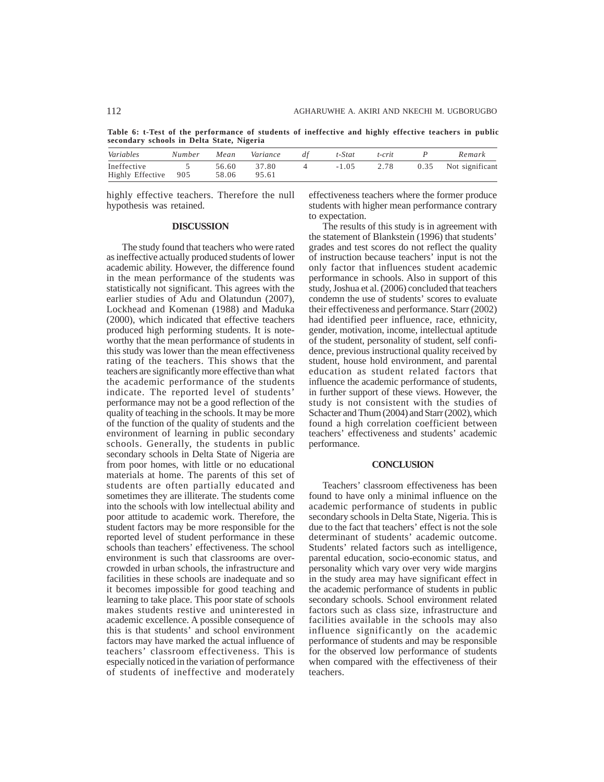**Table 6: t-Test of the performance of students of ineffective and highly effective teachers in public secondary schools in Delta State, Nigeria**

| Variables                           | <i>Number</i> | Mean           | Variance       | df | t-Stat  | $t$ -crit | Remark               |
|-------------------------------------|---------------|----------------|----------------|----|---------|-----------|----------------------|
| Ineffective<br>Highly Effective 905 |               | 56.60<br>58.06 | 37.80<br>95.61 |    | $-1.05$ | 2.78      | 0.35 Not significant |

highly effective teachers. Therefore the null hypothesis was retained.

### **DISCUSSION**

 The study found that teachers who were rated as ineffective actually produced students of lower academic ability. However, the difference found in the mean performance of the students was statistically not significant. This agrees with the earlier studies of Adu and Olatundun (2007), Lockhead and Komenan (1988) and Maduka (2000), which indicated that effective teachers produced high performing students. It is noteworthy that the mean performance of students in this study was lower than the mean effectiveness rating of the teachers. This shows that the teachers are significantly more effective than what the academic performance of the students indicate. The reported level of students' performance may not be a good reflection of the quality of teaching in the schools. It may be more of the function of the quality of students and the environment of learning in public secondary schools. Generally, the students in public secondary schools in Delta State of Nigeria are from poor homes, with little or no educational materials at home. The parents of this set of students are often partially educated and sometimes they are illiterate. The students come into the schools with low intellectual ability and poor attitude to academic work. Therefore, the student factors may be more responsible for the reported level of student performance in these schools than teachers' effectiveness. The school environment is such that classrooms are overcrowded in urban schools, the infrastructure and facilities in these schools are inadequate and so it becomes impossible for good teaching and learning to take place. This poor state of schools makes students restive and uninterested in academic excellence. A possible consequence of this is that students' and school environment factors may have marked the actual influence of teachers' classroom effectiveness. This is especially noticed in the variation of performance of students of ineffective and moderately

effectiveness teachers where the former produce students with higher mean performance contrary to expectation.

The results of this study is in agreement with the statement of Blankstein (1996) that students' grades and test scores do not reflect the quality of instruction because teachers' input is not the only factor that influences student academic performance in schools. Also in support of this study, Joshua et al. (2006) concluded that teachers condemn the use of students' scores to evaluate their effectiveness and performance. Starr (2002) had identified peer influence, race, ethnicity, gender, motivation, income, intellectual aptitude of the student, personality of student, self confidence, previous instructional quality received by student, house hold environment, and parental education as student related factors that influence the academic performance of students, in further support of these views. However, the study is not consistent with the studies of Schacter and Thum (2004) and Starr (2002), which found a high correlation coefficient between teachers' effectiveness and students' academic performance.

#### **CONCLUSION**

Teachers' classroom effectiveness has been found to have only a minimal influence on the academic performance of students in public secondary schools in Delta State, Nigeria. This is due to the fact that teachers' effect is not the sole determinant of students' academic outcome. Students' related factors such as intelligence, parental education, socio-economic status, and personality which vary over very wide margins in the study area may have significant effect in the academic performance of students in public secondary schools. School environment related factors such as class size, infrastructure and facilities available in the schools may also influence significantly on the academic performance of students and may be responsible for the observed low performance of students when compared with the effectiveness of their teachers.